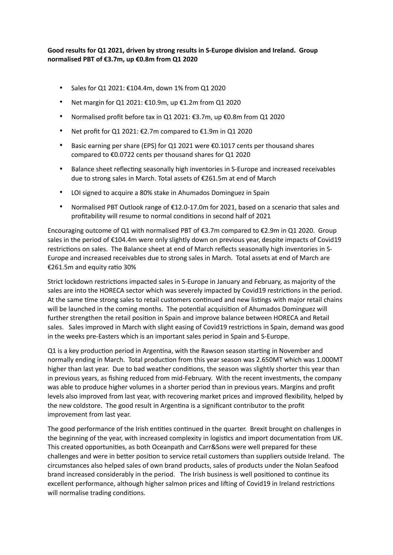# **Good results for Q1 2021, driven by strong results in S-Europe division and Ireland. Group normalised PBT of €3.7m, up €0.8m from Q1 2020**

- Sales for Q1 2021: €104.4m, down 1% from Q1 2020
- Net margin for Q1 2021:  $£10.9m$ , up  $£1.2m$  from Q1 2020
- Normalised profit before tax in Q1 2021: €3.7m, up €0.8m from Q1 2020
- Net profit for Q1 2021:  $\epsilon$ 2.7m compared to  $\epsilon$ 1.9m in Q1 2020
- Basic earning per share (EPS) for Q1 2021 were €0.1017 cents per thousand shares compared to €0.0722 cents per thousand shares for Q1 2020
- Balance sheet reflecting seasonally high inventories in S-Europe and increased receivables due to strong sales in March. Total assets of €261.5m at end of March
- LOI signed to acquire a 80% stake in Ahumados Dominguez in Spain
- Normalised PBT Outlook range of €12.0-17.0m for 2021, based on a scenario that sales and profitability will resume to normal conditions in second half of 2021

Encouraging outcome of Q1 with normalised PBT of  $\epsilon$ 3.7m compared to  $\epsilon$ 2.9m in Q1 2020. Group sales in the period of €104.4m were only slightly down on previous year, despite impacts of Covid19 restrictions on sales. The Balance sheet at end of March reflects seasonally high inventories in S-Europe and increased receivables due to strong sales in March. Total assets at end of March are €261.5m and equity ratio 30%

Strict lockdown restrictions impacted sales in S-Europe in January and February, as majority of the sales are into the HORECA sector which was severely impacted by Covid19 restrictions in the period. At the same time strong sales to retail customers continued and new listings with major retail chains will be launched in the coming months. The potential acquisition of Ahumados Dominguez will further strengthen the retail position in Spain and improve balance between HORECA and Retail sales. Sales improved in March with slight easing of Covid19 restrictions in Spain, demand was good in the weeks pre-Easters which is an important sales period in Spain and S-Europe.

Q1 is a key production period in Argentina, with the Rawson season starting in November and normally ending in March. Total production from this year season was 2.650MT which was 1.000MT higher than last year. Due to bad weather conditions, the season was slightly shorter this year than in previous years, as fishing reduced from mid-February. With the recent investments, the company was able to produce higher volumes in a shorter period than in previous years. Margins and profit levels also improved from last year, with recovering market prices and improved flexibility, helped by the new coldstore. The good result in Argentina is a significant contributor to the profit improvement from last year.

The good performance of the Irish entities continued in the quarter. Brexit brought on challenges in the beginning of the year, with increased complexity in logistics and import documentation from UK. This created opportunities, as both Oceanpath and Carr&Sons were well prepared for these challenges and were in better position to service retail customers than suppliers outside Ireland. The circumstances also helped sales of own brand products, sales of products under the Nolan Seafood brand increased considerably in the period. The Irish business is well positioned to continue its excellent performance, although higher salmon prices and lifting of Covid19 in Ireland restrictions will normalise trading conditions.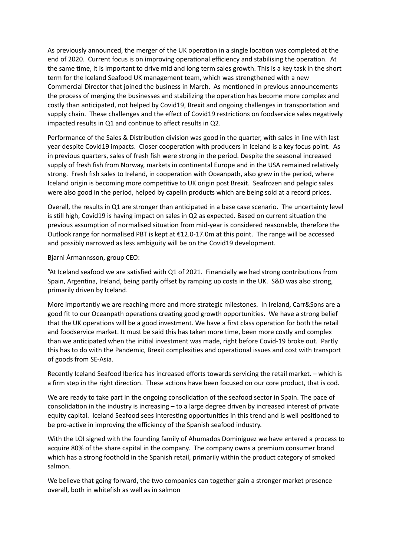As previously announced, the merger of the UK operation in a single location was completed at the end of 2020. Current focus is on improving operational efficiency and stabilising the operation. At the same time, it is important to drive mid and long term sales growth. This is a key task in the short term for the Iceland Seafood UK management team, which was strengthened with a new Commercial Director that joined the business in March. As mentioned in previous announcements the process of merging the businesses and stabilizing the operation has become more complex and costly than anticipated, not helped by Covid19, Brexit and ongoing challenges in transportation and supply chain. These challenges and the effect of Covid19 restrictions on foodservice sales negatively impacted results in  $Q1$  and continue to affect results in  $Q2$ .

Performance of the Sales & Distribution division was good in the quarter, with sales in line with last year despite Covid19 impacts. Closer cooperation with producers in Iceland is a key focus point. As in previous quarters, sales of fresh fish were strong in the period. Despite the seasonal increased supply of fresh fish from Norway, markets in continental Europe and in the USA remained relatively strong. Fresh fish sales to Ireland, in cooperation with Oceanpath, also grew in the period, where Iceland origin is becoming more competitive to UK origin post Brexit. Seafrozen and pelagic sales were also good in the period, helped by capelin products which are being sold at a record prices.

Overall, the results in  $Q1$  are stronger than anticipated in a base case scenario. The uncertainty level is still high, Covid19 is having impact on sales in  $Q2$  as expected. Based on current situation the previous assumption of normalised situation from mid-year is considered reasonable, therefore the Outlook range for normalised PBT is kept at €12.0-17.0m at this point. The range will be accessed and possibly narrowed as less ambiguity will be on the Covid19 development.

### Bjarni Ármannsson, group CEO:

"At Iceland seafood we are satisfied with Q1 of 2021. Financially we had strong contributions from Spain, Argentina, Ireland, being partly offset by ramping up costs in the UK. S&D was also strong, primarily driven by Iceland.

More importantly we are reaching more and more strategic milestones. In Ireland, Carr&Sons are a good fit to our Oceanpath operations creating good growth opportunities. We have a strong belief that the UK operations will be a good investment. We have a first class operation for both the retail and foodservice market. It must be said this has taken more time, been more costly and complex than we anticipated when the initial investment was made, right before Covid-19 broke out. Partly this has to do with the Pandemic, Brexit complexities and operational issues and cost with transport of goods from SE-Asia.

Recently Iceland Seafood Iberica has increased efforts towards servicing the retail market. – which is a firm step in the right direction. These actions have been focused on our core product, that is cod.

We are ready to take part in the ongoing consolidation of the seafood sector in Spain. The pace of consolidation in the industry is increasing  $-$  to a large degree driven by increased interest of private equity capital. Iceland Seafood sees interesting opportunities in this trend and is well positioned to be pro-active in improving the efficiency of the Spanish seafood industry.

With the LOI signed with the founding family of Ahumados Dominiguez we have entered a process to acquire 80% of the share capital in the company. The company owns a premium consumer brand which has a strong foothold in the Spanish retail, primarily within the product category of smoked salmon.

We believe that going forward, the two companies can together gain a stronger market presence overall, both in whitefish as well as in salmon